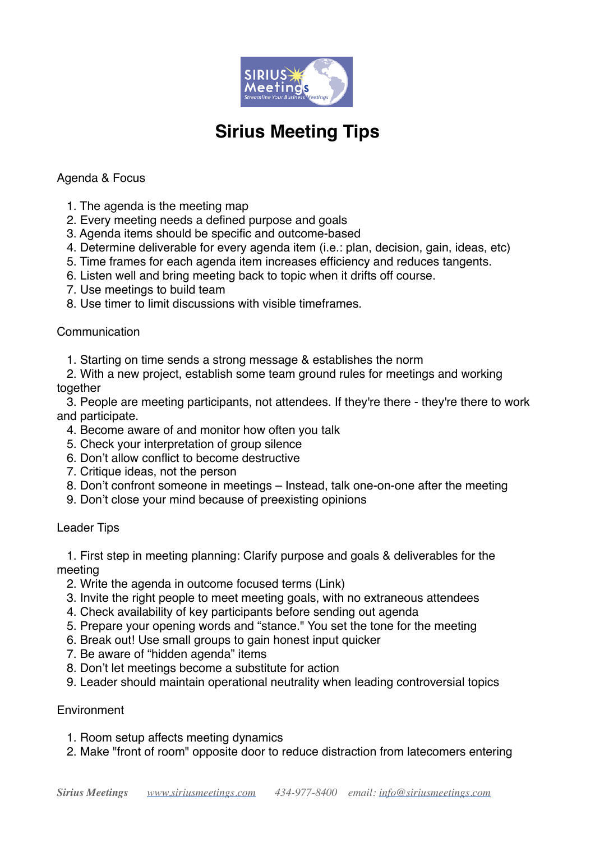

# **Sirius Meeting Tips**

## Agenda & Focus

- 1. The agenda is the meeting map
- 2. Every meeting needs a defined purpose and goals
- 3. Agenda items should be specific and outcome-based
- 4. Determine deliverable for every agenda item (i.e.: plan, decision, gain, ideas, etc)
- 5. Time frames for each agenda item increases efficiency and reduces tangents.
- 6. Listen well and bring meeting back to topic when it drifts off course.
- 7. Use meetings to build team
- 8. Use timer to limit discussions with visible timeframes.

### Communication

- 1. Starting on time sends a strong message & establishes the norm
- 2. With a new project, establish some team ground rules for meetings and working together

 3. People are meeting participants, not attendees. If they're there - they're there to work and participate.

- 4. Become aware of and monitor how often you talk
- 5. Check your interpretation of group silence
- 6. Don't allow conflict to become destructive
- 7. Critique ideas, not the person
- 8. Don't confront someone in meetings Instead, talk one-on-one after the meeting
- 9. Don't close your mind because of preexisting opinions

### Leader Tips

 1. First step in meeting planning: Clarify purpose and goals & deliverables for the meeting

- 2. Write the agenda in outcome focused terms (Link)
- 3. Invite the right people to meet meeting goals, with no extraneous attendees
- 4. Check availability of key participants before sending out agenda
- 5. Prepare your opening words and "stance." You set the tone for the meeting
- 6. Break out! Use small groups to gain honest input quicker
- 7. Be aware of "hidden agenda" items
- 8. Don't let meetings become a substitute for action
- 9. Leader should maintain operational neutrality when leading controversial topics

### **Environment**

- 1. Room setup affects meeting dynamics
- 2. Make "front of room" opposite door to reduce distraction from latecomers entering